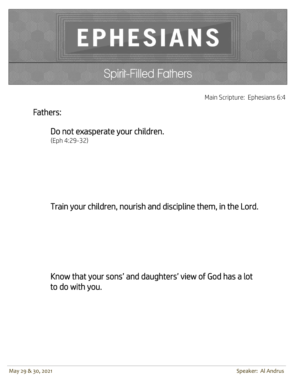# **EPHESIANS**

# Spirit-Filled Fathers

Main Scripture: Ephesians 6:4

## Fathers:

 Do not exasperate your children. (Eph 4:29-32)

Train your children, nourish and discipline them, in the Lord.

 Know that your sons' and daughters' view of God has a lot to do with you.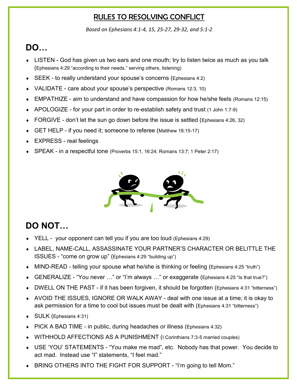### RULES TO RESOLVING CONFLICT

*Based on Ephesians 4:1-4, 15, 25-27, 29-32, and 5:1-2*

# **DO…**

- LISTEN God has given us two ears and one mouth; try to listen twice as much as you talk (Ephesians 4:29 "according to their needs," serving others, listening)
- SEEK to really understand your spouse's concerns (Ephesians 4:2)
- VALIDATE care about your spouse's perspective (Romans 12:3, 10)
- EMPATHIZE aim to understand and have compassion for how he/she feels (Romans 12:15)
- APOLOGIZE for your part in order to re-establish safety and trust (1 John 1:7-9)
- ◆ FORGIVE don't let the sun go down before the issue is settled (Ephesians 4:26, 32)
- ◆ GET HELP if you need it; someone to referee (Matthew 18:15-17)
- EXPRESS real feelings
- SPEAK in a respectful tone (Proverbs 15:1, 16:24; Romans 13:7; 1 Peter 2:17)



# **DO NOT…**

- YELL your opponent can tell you if you are too loud (Ephesians 4:29)
- LABEL, NAME-CALL, ASSASSINATE YOUR PARTNER'S CHARACTER OR BELITTLE THE ISSUES - "come on grow up" (Ephesians 4:29 "building up")
- MIND-READ telling your spouse what he/she is thinking or feeling (Ephesians 4:25 "truth")
- GENERALIZE "You never …" or "I'm always …" or exaggerate (Ephesians 4:25 "Is that true?")
- DWELL ON THE PAST if it has been forgiven, it should be forgotten (Ephesians 4:31 "bitterness")
- AVOID THE ISSUES, IGNORE OR WALK AWAY deal with one issue at a time; it is okay to ask permission for a time to cool but issues must be dealt with (Ephesians 4:31 "bitterness")
- ◆ SULK (Ephesians 4:31)
- PICK A BAD TIME in public, during headaches or illness (Ephesians 4:32)
- WITHHOLD AFFECTIONS AS A PUNISHMENT (I Corinthians 7:3-5 married couples)
- USE 'YOU' STATEMENTS "You make me mad", etc. Nobody has that power. You decide to act mad. Instead use "I" statements, "I feel mad."
- BRING OTHERS INTO THE FIGHT FOR SUPPORT "I'm going to tell Mom."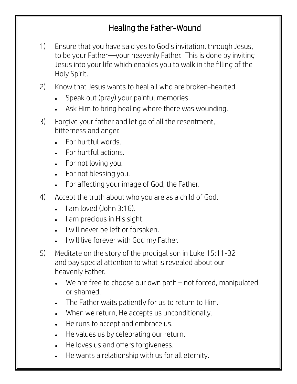## Healing the Father-Wound

- 1) Ensure that you have said yes to God's invitation, through Jesus, to be your Father—your heavenly Father. This is done by inviting Jesus into your life which enables you to walk in the filling of the Holy Spirit.
- 2) Know that Jesus wants to heal all who are broken-hearted.
	- Speak out (pray) your painful memories.
	- Ask Him to bring healing where there was wounding.
- 3) Forgive your father and let go of all the resentment, bitterness and anger.
	- For hurtful words.
	- For hurtful actions.
	- For not loving you.
	- For not blessing you.
	- For affecting your image of God, the Father.
- 4) Accept the truth about who you are as a child of God.
	- $\bullet$  Lam loved (John 3:16).
	- I am precious in His sight.
	- I will never be left or forsaken.
	- I will live forever with God my Father.
- 5) Meditate on the story of the prodigal son in Luke 15:11-32 and pay special attention to what is revealed about our heavenly Father.
	- We are free to choose our own path not forced, manipulated or shamed.
	- The Father waits patiently for us to return to Him.
	- When we return, He accepts us unconditionally.
	- He runs to accept and embrace us.
	- He values us by celebrating our return.
	- He loves us and offers forgiveness.
	- He wants a relationship with us for all eternity.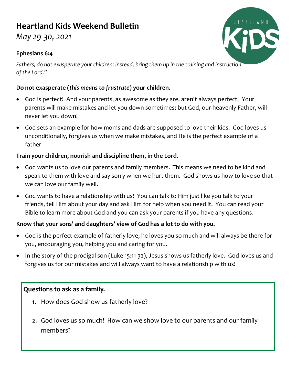## **Heartland Kids Weekend Bulletin**

*May 29-30, 2021*

#### **Ephesians 6:4**

*Fathers, do not exasperate your children; instead, bring them up in the training and instruction of the Lord."*

#### **Do not exasperate (***this means to frustrate***) your children.**

- God is perfect! And your parents, as awesome as they are, aren't always perfect. Your parents will make mistakes and let you down sometimes; but God, our heavenly Father, will never let you down!
- God sets an example for how moms and dads are supposed to love their kids. God loves us unconditionally, forgives us when we make mistakes, and He is the perfect example of a father.

#### **Train your children, nourish and discipline them, in the Lord.**

- God wants us to love our parents and family members. This means we need to be kind and speak to them with love and say sorry when we hurt them. God shows us how to love so that we can love our family well.
- God wants to have a relationship with us! You can talk to Him just like you talk to your friends, tell Him about your day and ask Him for help when you need it. You can read your Bible to learn more about God and you can ask your parents if you have any questions.

#### **Know that your sons' and daughters' view of God has a lot to do with you.**

- God is the perfect example of fatherly love; he loves you so much and will always be there for you, encouraging you, helping you and caring for you.
- In the story of the prodigal son (Luke 15:11-32), Jesus shows us fatherly love. God loves us and forgives us for our mistakes and will always want to have a relationship with us!

#### **Questions to ask as a family.**

- 1. How does God show us fatherly love?
- 2. God loves us so much! How can we show love to our parents and our family members?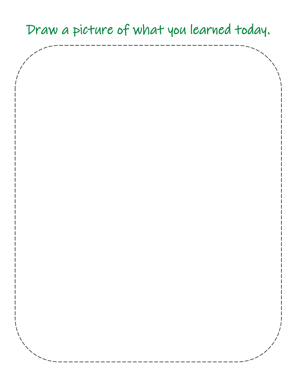# Draw a picture of what you learned today.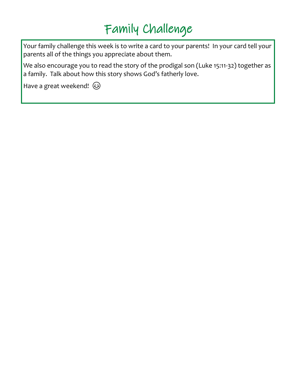# Family Challenge

Your family challenge this week is to write a card to your parents! In your card tell your parents all of the things you appreciate about them.

We also encourage you to read the story of the prodigal son (Luke 15:11-32) together as a family. Talk about how this story shows God's fatherly love.

Have a great weekend!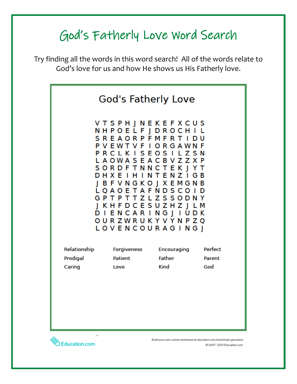# God's Fatherly Love Word Search

Try finding all the words in this word search! All of the words relate to God's love for us and how He shows us His Fatherly love.



Education.com

Build your own custom worksheet at education.com/worksheet-generator @ 2007 - 2021 Education.com